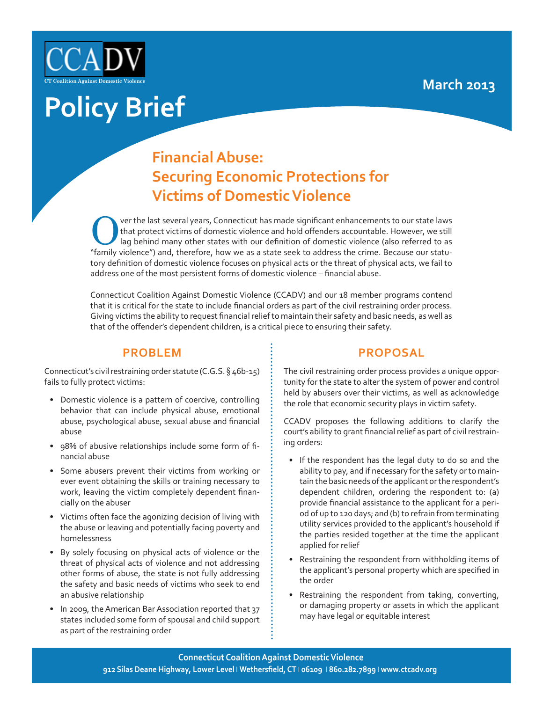

# **Policy Brief**

## **Financial Abuse: Securing Economic Protections for Victims of Domestic Violence**

Over the last several years, Connecticut has made significant enhancements to our state laws<br>
that protect victims of domestic violence and hold offenders accountable. However, we still<br>
lag behind many other states with o that protect victims of domestic violence and hold offenders accountable. However, we still "family violence") and, therefore, how we as a state seek to address the crime. Because our statutory definition of domestic violence focuses on physical acts or the threat of physical acts, we fail to address one of the most persistent forms of domestic violence – financial abuse.

Connecticut Coalition Against Domestic Violence (CCADV) and our 18 member programs contend that it is critical for the state to include financial orders as part of the civil restraining order process. Giving victims the ability to request financial relief to maintain their safety and basic needs, as well as that of the offender's dependent children, is a critical piece to ensuring their safety.

#### **PROBLEM**

Connecticut's civil restraining order statute (C.G.S. § 46b-15) fails to fully protect victims:

- Domestic violence is a pattern of coercive, controlling behavior that can include physical abuse, emotional abuse, psychological abuse, sexual abuse and financial abuse
- 98% of abusive relationships include some form of financial abuse
- Some abusers prevent their victims from working or ever event obtaining the skills or training necessary to work, leaving the victim completely dependent financially on the abuser
- Victims often face the agonizing decision of living with the abuse or leaving and potentially facing poverty and homelessness
- By solely focusing on physical acts of violence or the threat of physical acts of violence and not addressing other forms of abuse, the state is not fully addressing the safety and basic needs of victims who seek to end an abusive relationship
- In 2009, the American Bar Association reported that 37 states included some form of spousal and child support as part of the restraining order

### **PROPOSAL**

The civil restraining order process provides a unique opportunity for the state to alter the system of power and control held by abusers over their victims, as well as acknowledge the role that economic security plays in victim safety.

CCADV proposes the following additions to clarify the court's ability to grant financial relief as part of civil restraining orders:

- If the respondent has the legal duty to do so and the ability to pay, and if necessary for the safety or to maintain the basic needs of the applicant or the respondent's dependent children, ordering the respondent to: (a) provide financial assistance to the applicant for a period of up to 120 days; and (b) to refrain from terminating utility services provided to the applicant's household if the parties resided together at the time the applicant applied for relief
- Restraining the respondent from withholding items of the applicant's personal property which are specified in the order
- Restraining the respondent from taking, converting, or damaging property or assets in which the applicant may have legal or equitable interest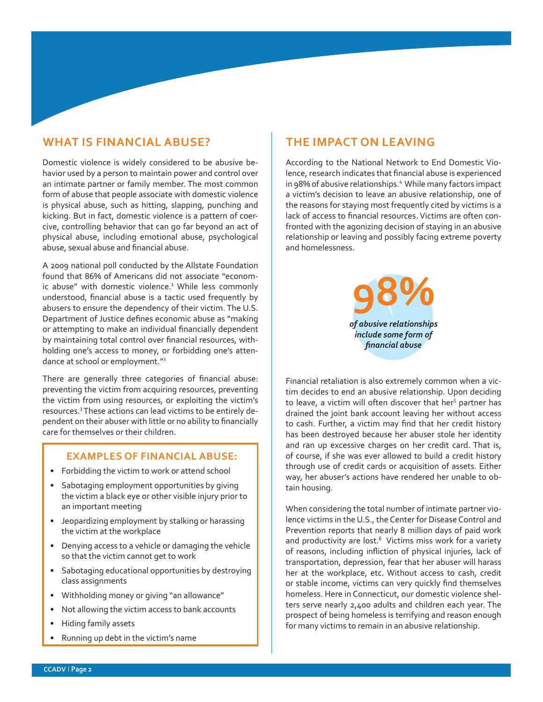## **WHAT IS FINANCIAL ABUSE?**

Domestic violence is widely considered to be abusive behavior used by a person to maintain power and control over an intimate partner or family member. The most common form of abuse that people associate with domestic violence is physical abuse, such as hitting, slapping, punching and kicking. But in fact, domestic violence is a pattern of coercive, controlling behavior that can go far beyond an act of physical abuse, including emotional abuse, psychological abuse, sexual abuse and financial abuse.

A 2009 national poll conducted by the Allstate Foundation found that 86% of Americans did not associate "economic abuse" with domestic violence.<sup>1</sup> While less commonly understood, financial abuse is a tactic used frequently by abusers to ensure the dependency of their victim. The U.S. Department of Justice defines economic abuse as "making or attempting to make an individual financially dependent by maintaining total control over financial resources, withholding one's access to money, or forbidding one's attendance at school or employment."<sup>2</sup>

There are generally three categories of financial abuse: preventing the victim from acquiring resources, preventing the victim from using resources, or exploiting the victim's resources.<sup>3</sup> These actions can lead victims to be entirely dependent on their abuser with little or no ability to financially care for themselves or their children.

#### **EXAMPLES OF FINANCIAL ABUSE:**

- Forbidding the victim to work or attend school
- Sabotaging employment opportunities by giving the victim a black eye or other visible injury prior to an important meeting
- Jeopardizing employment by stalking or harassing the victim at the workplace
- Denying access to a vehicle or damaging the vehicle so that the victim cannot get to work
- Sabotaging educational opportunities by destroying class assignments
- Withholding money or giving "an allowance"
- Not allowing the victim access to bank accounts
- Hiding family assets
- Running up debt in the victim's name

#### **THE IMPACT ON LEAVING**

According to the National Network to End Domestic Violence, research indicates that financial abuse is experienced in 98% of abusive relationships.<sup>4</sup> While many factors impact a victim's decision to leave an abusive relationship, one of the reasons for staying most frequently cited by victims is a lack of access to financial resources. Victims are often confronted with the agonizing decision of staying in an abusive relationship or leaving and possibly facing extreme poverty and homelessness.

> **98%** *of abusive relationships include some form of financial abuse*

Financial retaliation is also extremely common when a victim decides to end an abusive relationship. Upon deciding to leave, a victim will often discover that her<sup>5</sup> partner has drained the joint bank account leaving her without access to cash. Further, a victim may find that her credit history has been destroyed because her abuser stole her identity and ran up excessive charges on her credit card. That is, of course, if she was ever allowed to build a credit history through use of credit cards or acquisition of assets. Either way, her abuser's actions have rendered her unable to obtain housing.

When considering the total number of intimate partner violence victims in the U.S., the Center for Disease Control and Prevention reports that nearly 8 million days of paid work and productivity are lost.<sup>6</sup> Victims miss work for a variety of reasons, including infliction of physical injuries, lack of transportation, depression, fear that her abuser will harass her at the workplace, etc. Without access to cash, credit or stable income, victims can very quickly find themselves homeless. Here in Connecticut, our domestic violence shelters serve nearly 2,400 adults and children each year. The prospect of being homeless is terrifying and reason enough for many victims to remain in an abusive relationship.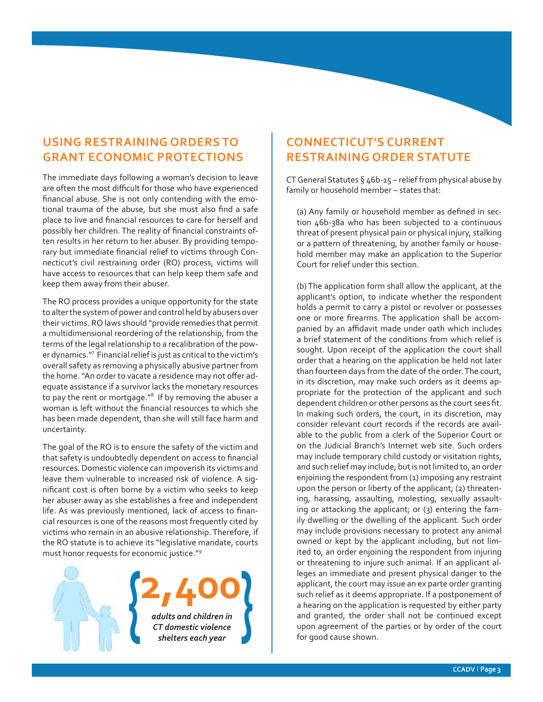## **USING RESTRAINING ORDERS TO GRANT ECONOMIC PROTECTIONS**

The immediate days following a woman's decision to leave are often the most difficult for those who have experienced financial abuse. She is not only contending with the emotional trauma of the abuse, but she must also find a safe place to live and financial resources to care for herself and possibly her children. The reality of financial constraints often results in her return to her abuser. By providing temporary but immediate financial relief to victims through Connecticut's civil restraining order (RO) process, victims will have access to resources that can help keep them safe and keep them away from their abuser.

The RO process provides a unique opportunity for the state to alter the system of power and control held by abusers over their victims. RO laws should "provide remedies that permit a multidimensional reordering of the relationship, from the terms of the legal relationship to a recalibration of the power dynamics."7 Financial relief is just as critical to the victim's overall safety as removing a physically abusive partner from the home. "An order to vacate a residence may not offer adequate assistance if a survivor lacks the monetary resources to pay the rent or mortgage."<sup>8</sup> If by removing the abuser a woman is left without the financial resources to which she has been made dependent, than she will still face harm and uncertainty.

The goal of the RO is to ensure the safety of the victim and that safety is undoubtedly dependent on access to financial resources. Domestic violence can impoverish its victims and leave them vulnerable to increased risk of violence. A significant cost is often borne by a victim who seeks to keep her abuser away as she establishes a free and independent life. As was previously mentioned, lack of access to financial resources is one of the reasons most frequently cited by victims who remain in an abusive relationship. Therefore, if the RO statute is to achieve its "legislative mandate, courts must honor requests for economic justice."<sup>9</sup>



## **CONNECTICUT'S CURRENT RESTRAINING ORDER STATUTE**

CT General Statutes  $\S$  46b-15 – relief from physical abuse by family or household member – states that:

(a) Any family or household member as defined in section 46b-38a who has been subjected to a continuous threat of present physical pain or physical injury, stalking or a pattern of threatening, by another family or household member may make an application to the Superior Court for relief under this section.

(b) The application form shall allow the applicant, at the applicant's option, to indicate whether the respondent holds a permit to carry a pistol or revolver or possesses one or more firearms. The application shall be accompanied by an affidavit made under oath which includes a brief statement of the conditions from which relief is sought. Upon receipt of the application the court shall order that a hearing on the application be held not later than fourteen days from the date of the order. The court, in its discretion, may make such orders as it deems appropriate for the protection of the applicant and such dependent children or other persons as the court sees fit. In making such orders, the court, in its discretion, may consider relevant court records if the records are available to the public from a clerk of the Superior Court or on the Judicial Branch's Internet web site. Such orders may include temporary child custody or visitation rights, and such relief may include, but is not limited to, an order enjoining the respondent from (1) imposing any restraint upon the person or liberty of the applicant; (2) threatening, harassing, assaulting, molesting, sexually assaulting or attacking the applicant; or (3) entering the family dwelling or the dwelling of the applicant. Such order may include provisions necessary to protect any animal owned or kept by the applicant including, but not limited to, an order enjoining the respondent from injuring or threatening to injure such animal. If an applicant alleges an immediate and present physical danger to the applicant, the court may issue an ex parte order granting such relief as it deems appropriate. If a postponement of a hearing on the application is requested by either party and granted, the order shall not be continued except upon agreement of the parties or by order of the court for good cause shown.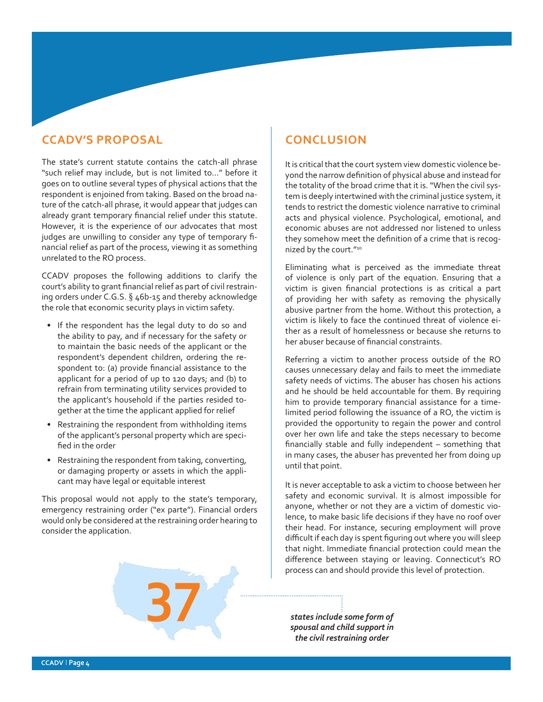### **CCADV'S PROPOSAL**

The state's current statute contains the catch-all phrase "such relief may include, but is not limited to…" before it goes on to outline several types of physical actions that the respondent is enjoined from taking. Based on the broad nature of the catch-all phrase, it would appear that judges can already grant temporary financial relief under this statute. However, it is the experience of our advocates that most judges are unwilling to consider any type of temporary financial relief as part of the process, viewing it as something unrelated to the RO process.

CCADV proposes the following additions to clarify the court's ability to grant financial relief as part of civil restraining orders under C.G.S. § 46b-15 and thereby acknowledge the role that economic security plays in victim safety.

- If the respondent has the legal duty to do so and the ability to pay, and if necessary for the safety or to maintain the basic needs of the applicant or the respondent's dependent children, ordering the respondent to: (a) provide financial assistance to the applicant for a period of up to 120 days; and (b) to refrain from terminating utility services provided to the applicant's household if the parties resided together at the time the applicant applied for relief
- Restraining the respondent from withholding items of the applicant's personal property which are specified in the order
- Restraining the respondent from taking, converting, or damaging property or assets in which the applicant may have legal or equitable interest

This proposal would not apply to the state's temporary, emergency restraining order ("ex parte"). Financial orders would only be considered at the restraining order hearing to consider the application.



It is critical that the court system view domestic violence beyond the narrow definition of physical abuse and instead for the totality of the broad crime that it is. "When the civil system is deeply intertwined with the criminal justice system, it tends to restrict the domestic violence narrative to criminal acts and physical violence. Psychological, emotional, and economic abuses are not addressed nor listened to unless they somehow meet the definition of a crime that is recognized by the court."10

Eliminating what is perceived as the immediate threat of violence is only part of the equation. Ensuring that a victim is given financial protections is as critical a part of providing her with safety as removing the physically abusive partner from the home. Without this protection, a victim is likely to face the continued threat of violence either as a result of homelessness or because she returns to her abuser because of financial constraints.

Referring a victim to another process outside of the RO causes unnecessary delay and fails to meet the immediate safety needs of victims. The abuser has chosen his actions and he should be held accountable for them. By requiring him to provide temporary financial assistance for a timelimited period following the issuance of a RO, the victim is provided the opportunity to regain the power and control over her own life and take the steps necessary to become financially stable and fully independent – something that in many cases, the abuser has prevented her from doing up until that point.

It is never acceptable to ask a victim to choose between her safety and economic survival. It is almost impossible for anyone, whether or not they are a victim of domestic violence, to make basic life decisions if they have no roof over their head. For instance, securing employment will prove difficult if each day is spent figuring out where you will sleep that night. Immediate financial protection could mean the difference between staying or leaving. Connecticut's RO process can and should provide this level of protection.

process can and should provided a states include some form of **a** *spousal and child support in the civil restraining order*

**CCADV ǀ Page 4**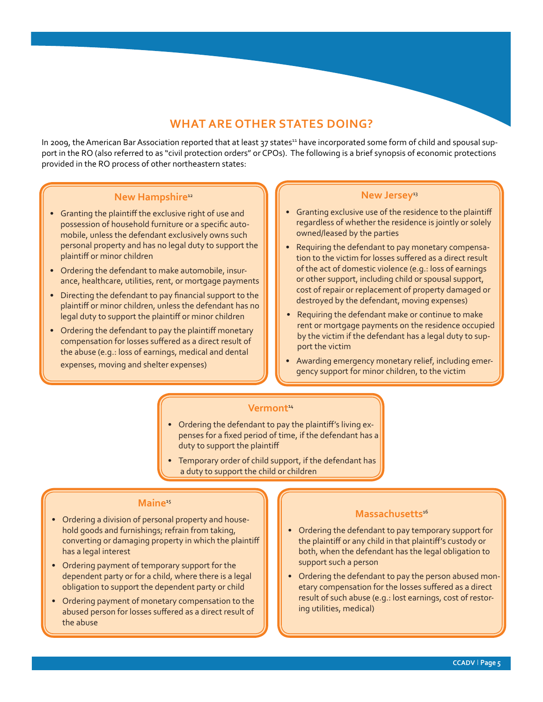#### **WHAT ARE OTHER STATES DOING?**

In 2009, the American Bar Association reported that at least 37 states<sup>11</sup> have incorporated some form of child and spousal support in the RO (also referred to as "civil protection orders" or CPOs). The following is a brief synopsis of economic protections provided in the RO process of other northeastern states:

#### **New Hampshire**<sup>12</sup>

- Granting the plaintiff the exclusive right of use and possession of household furniture or a specific automobile, unless the defendant exclusively owns such personal property and has no legal duty to support the plaintiff or minor children
- Ordering the defendant to make automobile, insurance, healthcare, utilities, rent, or mortgage payments
- Directing the defendant to pay financial support to the plaintiff or minor children, unless the defendant has no legal duty to support the plaintiff or minor children
- Ordering the defendant to pay the plaintiff monetary compensation for losses suffered as a direct result of the abuse (e.g.: loss of earnings, medical and dental expenses, moving and shelter expenses)

#### New Jersey<sup>13</sup>

- Granting exclusive use of the residence to the plaintiff regardless of whether the residence is jointly or solely owned/leased by the parties
- Requiring the defendant to pay monetary compensation to the victim for losses suffered as a direct result of the act of domestic violence (e.g.: loss of earnings or other support, including child or spousal support, cost of repair or replacement of property damaged or destroyed by the defendant, moving expenses)
- Requiring the defendant make or continue to make rent or mortgage payments on the residence occupied by the victim if the defendant has a legal duty to support the victim
- Awarding emergency monetary relief, including emergency support for minor children, to the victim

#### **Vermont**<sup>14</sup>

- Ordering the defendant to pay the plaintiff's living expenses for a fixed period of time, if the defendant has a duty to support the plaintiff
- Temporary order of child support, if the defendant has a duty to support the child or children

#### **Maine**<sup>15</sup>

- Ordering a division of personal property and household goods and furnishings; refrain from taking, converting or damaging property in which the plaintiff has a legal interest
- Ordering payment of temporary support for the dependent party or for a child, where there is a legal obligation to support the dependent party or child
- Ordering payment of monetary compensation to the abused person for losses suffered as a direct result of the abuse

#### **Massachusetts**<sup>16</sup>

- Ordering the defendant to pay temporary support for the plaintiff or any child in that plaintiff's custody or both, when the defendant has the legal obligation to support such a person
- Ordering the defendant to pay the person abused monetary compensation for the losses suffered as a direct result of such abuse (e.g.: lost earnings, cost of restoring utilities, medical)